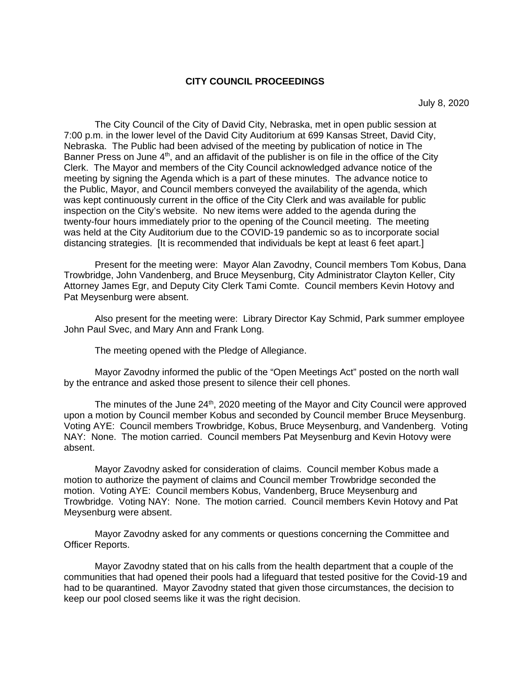#### **CITY COUNCIL PROCEEDINGS**

July 8, 2020

The City Council of the City of David City, Nebraska, met in open public session at 7:00 p.m. in the lower level of the David City Auditorium at 699 Kansas Street, David City, Nebraska. The Public had been advised of the meeting by publication of notice in The Banner Press on June  $4<sup>th</sup>$ , and an affidavit of the publisher is on file in the office of the City Clerk. The Mayor and members of the City Council acknowledged advance notice of the meeting by signing the Agenda which is a part of these minutes. The advance notice to the Public, Mayor, and Council members conveyed the availability of the agenda, which was kept continuously current in the office of the City Clerk and was available for public inspection on the City's website. No new items were added to the agenda during the twenty-four hours immediately prior to the opening of the Council meeting. The meeting was held at the City Auditorium due to the COVID-19 pandemic so as to incorporate social distancing strategies. [It is recommended that individuals be kept at least 6 feet apart.]

Present for the meeting were: Mayor Alan Zavodny, Council members Tom Kobus, Dana Trowbridge, John Vandenberg, and Bruce Meysenburg, City Administrator Clayton Keller, City Attorney James Egr, and Deputy City Clerk Tami Comte. Council members Kevin Hotovy and Pat Meysenburg were absent.

Also present for the meeting were: Library Director Kay Schmid, Park summer employee John Paul Svec, and Mary Ann and Frank Long.

The meeting opened with the Pledge of Allegiance.

Mayor Zavodny informed the public of the "Open Meetings Act" posted on the north wall by the entrance and asked those present to silence their cell phones.

The minutes of the June 24<sup>th</sup>, 2020 meeting of the Mayor and City Council were approved upon a motion by Council member Kobus and seconded by Council member Bruce Meysenburg. Voting AYE: Council members Trowbridge, Kobus, Bruce Meysenburg, and Vandenberg. Voting NAY: None. The motion carried. Council members Pat Meysenburg and Kevin Hotovy were absent.

Mayor Zavodny asked for consideration of claims. Council member Kobus made a motion to authorize the payment of claims and Council member Trowbridge seconded the motion. Voting AYE: Council members Kobus, Vandenberg, Bruce Meysenburg and Trowbridge. Voting NAY: None. The motion carried. Council members Kevin Hotovy and Pat Meysenburg were absent.

Mayor Zavodny asked for any comments or questions concerning the Committee and Officer Reports.

Mayor Zavodny stated that on his calls from the health department that a couple of the communities that had opened their pools had a lifeguard that tested positive for the Covid-19 and had to be quarantined. Mayor Zavodny stated that given those circumstances, the decision to keep our pool closed seems like it was the right decision.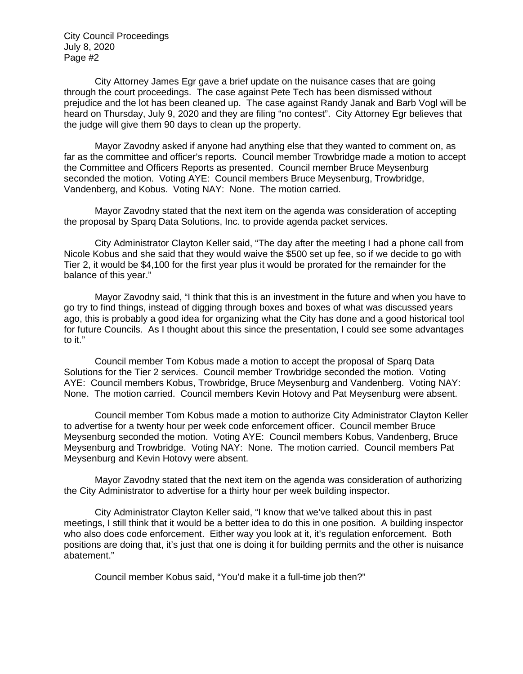City Attorney James Egr gave a brief update on the nuisance cases that are going through the court proceedings. The case against Pete Tech has been dismissed without prejudice and the lot has been cleaned up. The case against Randy Janak and Barb Vogl will be heard on Thursday, July 9, 2020 and they are filing "no contest". City Attorney Egr believes that the judge will give them 90 days to clean up the property.

Mayor Zavodny asked if anyone had anything else that they wanted to comment on, as far as the committee and officer's reports. Council member Trowbridge made a motion to accept the Committee and Officers Reports as presented. Council member Bruce Meysenburg seconded the motion. Voting AYE: Council members Bruce Meysenburg, Trowbridge, Vandenberg, and Kobus. Voting NAY: None. The motion carried.

Mayor Zavodny stated that the next item on the agenda was consideration of accepting the proposal by Sparq Data Solutions, Inc. to provide agenda packet services.

City Administrator Clayton Keller said, "The day after the meeting I had a phone call from Nicole Kobus and she said that they would waive the \$500 set up fee, so if we decide to go with Tier 2, it would be \$4,100 for the first year plus it would be prorated for the remainder for the balance of this year."

Mayor Zavodny said, "I think that this is an investment in the future and when you have to go try to find things, instead of digging through boxes and boxes of what was discussed years ago, this is probably a good idea for organizing what the City has done and a good historical tool for future Councils. As I thought about this since the presentation, I could see some advantages to it."

Council member Tom Kobus made a motion to accept the proposal of Sparq Data Solutions for the Tier 2 services. Council member Trowbridge seconded the motion. Voting AYE: Council members Kobus, Trowbridge, Bruce Meysenburg and Vandenberg. Voting NAY: None. The motion carried. Council members Kevin Hotovy and Pat Meysenburg were absent.

Council member Tom Kobus made a motion to authorize City Administrator Clayton Keller to advertise for a twenty hour per week code enforcement officer. Council member Bruce Meysenburg seconded the motion. Voting AYE: Council members Kobus, Vandenberg, Bruce Meysenburg and Trowbridge. Voting NAY: None. The motion carried. Council members Pat Meysenburg and Kevin Hotovy were absent.

Mayor Zavodny stated that the next item on the agenda was consideration of authorizing the City Administrator to advertise for a thirty hour per week building inspector.

City Administrator Clayton Keller said, "I know that we've talked about this in past meetings, I still think that it would be a better idea to do this in one position. A building inspector who also does code enforcement. Either way you look at it, it's regulation enforcement. Both positions are doing that, it's just that one is doing it for building permits and the other is nuisance abatement."

Council member Kobus said, "You'd make it a full-time job then?"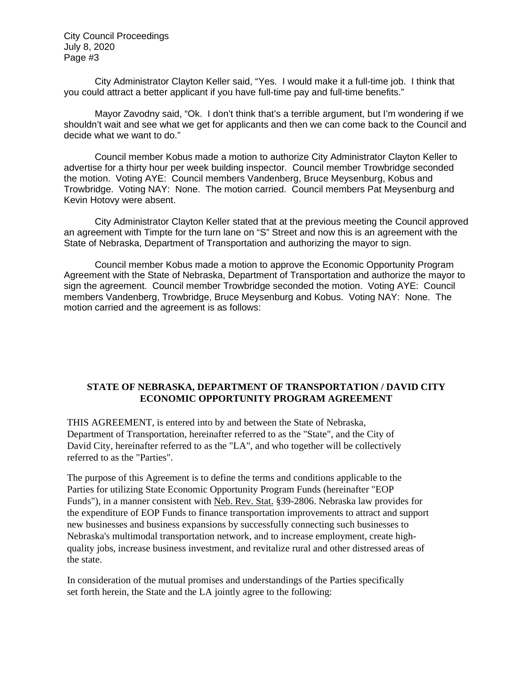City Administrator Clayton Keller said, "Yes. I would make it a full-time job. I think that you could attract a better applicant if you have full-time pay and full-time benefits."

Mayor Zavodny said, "Ok. I don't think that's a terrible argument, but I'm wondering if we shouldn't wait and see what we get for applicants and then we can come back to the Council and decide what we want to do."

Council member Kobus made a motion to authorize City Administrator Clayton Keller to advertise for a thirty hour per week building inspector. Council member Trowbridge seconded the motion. Voting AYE: Council members Vandenberg, Bruce Meysenburg, Kobus and Trowbridge. Voting NAY: None. The motion carried. Council members Pat Meysenburg and Kevin Hotovy were absent.

City Administrator Clayton Keller stated that at the previous meeting the Council approved an agreement with Timpte for the turn lane on "S" Street and now this is an agreement with the State of Nebraska, Department of Transportation and authorizing the mayor to sign.

Council member Kobus made a motion to approve the Economic Opportunity Program Agreement with the State of Nebraska, Department of Transportation and authorize the mayor to sign the agreement. Council member Trowbridge seconded the motion. Voting AYE: Council members Vandenberg, Trowbridge, Bruce Meysenburg and Kobus. Voting NAY: None. The motion carried and the agreement is as follows:

### **STATE OF NEBRASKA, DEPARTMENT OF TRANSPORTATION / DAVID CITY ECONOMIC OPPORTUNITY PROGRAM AGREEMENT**

THIS AGREEMENT, is entered into by and between the State of Nebraska, Department of Transportation, hereinafter referred to as the "State", and the City of David City, hereinafter referred to as the "LA", and who together will be collectively referred to as the "Parties".

The purpose of this Agreement is to define the terms and conditions applicable to the Parties for utilizing State Economic Opportunity Program Funds (hereinafter "EOP Funds"), in a manner consistent with Neb. Rev. Stat. §39-2806. Nebraska law provides for the expenditure of EOP Funds to finance transportation improvements to attract and support new businesses and business expansions by successfully connecting such businesses to Nebraska's multimodal transportation network, and to increase employment, create highquality jobs, increase business investment, and revitalize rural and other distressed areas of the state.

In consideration of the mutual promises and understandings of the Parties specifically set forth herein, the State and the LA jointly agree to the following: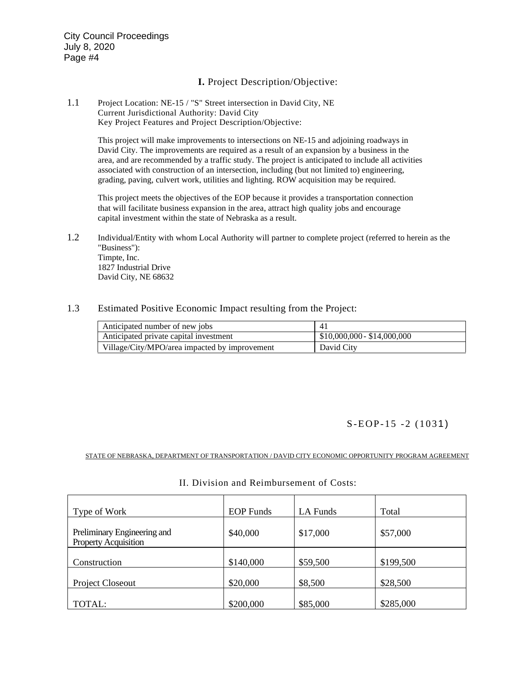### **I.** Project Description/Objective:

#### 1.1 Project Location: NE-15 / "S" Street intersection in David City, NE Current Jurisdictional Authority: David City Key Project Features and Project Description/Objective:

This project will make improvements to intersections on NE-15 and adjoining roadways in David City. The improvements are required as a result of an expansion by a business in the area, and are recommended by a traffic study. The project is anticipated to include all activities associated with construction of an intersection, including (but not limited to) engineering, grading, paving, culvert work, utilities and lighting. ROW acquisition may be required.

This project meets the objectives of the EOP because it provides a transportation connection that will facilitate business expansion in the area, attract high quality jobs and encourage capital investment within the state of Nebraska as a result.

- 1.2 Individual/Entity with whom Local Authority will partner to complete project (referred to herein as the "Business"): Timpte, Inc. 1827 Industrial Drive David City, NE 68632
- 1.3 Estimated Positive Economic Impact resulting from the Project:

| Anticipated number of new jobs                |                             |
|-----------------------------------------------|-----------------------------|
| Anticipated private capital investment        | $$10,000,000 - $14,000,000$ |
| Village/City/MPO/area impacted by improvement | David City                  |

#### S-EOP-15-2 (1031)

STATE OF NEBRASKA, DEPARTMENT OF TRANSPORTATION / DAVID CITY ECONOMIC OPPORTUNITY PROGRAM AGREEMENT

| Type of Work                                               | <b>EOP</b> Funds | LA Funds | Total     |
|------------------------------------------------------------|------------------|----------|-----------|
| Preliminary Engineering and<br><b>Property Acquisition</b> | \$40,000         | \$17,000 | \$57,000  |
| Construction                                               | \$140,000        | \$59,500 | \$199,500 |
| Project Closeout                                           | \$20,000         | \$8,500  | \$28,500  |
| TOTAL:                                                     | \$200,000        | \$85,000 | \$285,000 |

#### II. Division and Reimbursement of Costs: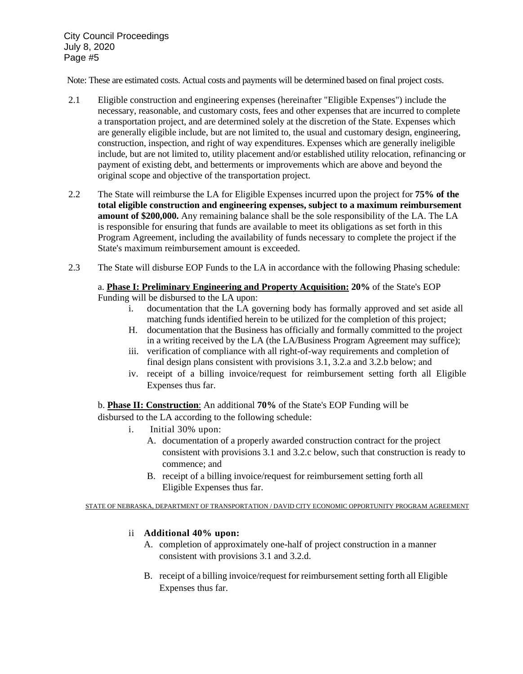Note: These are estimated costs. Actual costs and payments will be determined based on final project costs.

- 2.1 Eligible construction and engineering expenses (hereinafter "Eligible Expenses") include the necessary, reasonable, and customary costs, fees and other expenses that are incurred to complete a transportation project, and are determined solely at the discretion of the State. Expenses which are generally eligible include, but are not limited to, the usual and customary design, engineering, construction, inspection, and right of way expenditures. Expenses which are generally ineligible include, but are not limited to, utility placement and/or established utility relocation, refinancing or payment of existing debt, and betterments or improvements which are above and beyond the original scope and objective of the transportation project.
- 2.2 The State will reimburse the LA for Eligible Expenses incurred upon the project for **75% of the total eligible construction and engineering expenses, subject to a maximum reimbursement amount of \$200,000.** Any remaining balance shall be the sole responsibility of the LA. The LA is responsible for ensuring that funds are available to meet its obligations as set forth in this Program Agreement, including the availability of funds necessary to complete the project if the State's maximum reimbursement amount is exceeded.
- 2.3 The State will disburse EOP Funds to the LA in accordance with the following Phasing schedule:

# a. **Phase I: Preliminary Engineering and Property Acquisition: 20%** of the State's EOP

Funding will be disbursed to the LA upon:

- i. documentation that the LA governing body has formally approved and set aside all matching funds identified herein to be utilized for the completion of this project;
- H. documentation that the Business has officially and formally committed to the project in a writing received by the LA (the LA/Business Program Agreement may suffice);
- iii. verification of compliance with all right-of-way requirements and completion of final design plans consistent with provisions 3.1, 3.2.a and 3.2.b below; and
- iv. receipt of a billing invoice/request for reimbursement setting forth all Eligible Expenses thus far.

b. **Phase II: Construction**: An additional **70%** of the State's EOP Funding will be disbursed to the LA according to the following schedule:

- i. Initial 30% upon:
	- A. documentation of a properly awarded construction contract for the project consistent with provisions 3.1 and 3.2.c below, such that construction is ready to commence; and
	- B. receipt of a billing invoice/request for reimbursement setting forth all Eligible Expenses thus far.

STATE OF NEBRASKA, DEPARTMENT OF TRANSPORTATION / DAVID CITY ECONOMIC OPPORTUNITY PROGRAM AGREEMENT

### ii **Additional 40% upon:**

- A. completion of approximately one-half of project construction in a manner consistent with provisions 3.1 and 3.2.d.
- B. receipt of a billing invoice/request for reimbursement setting forth all Eligible Expenses thus far.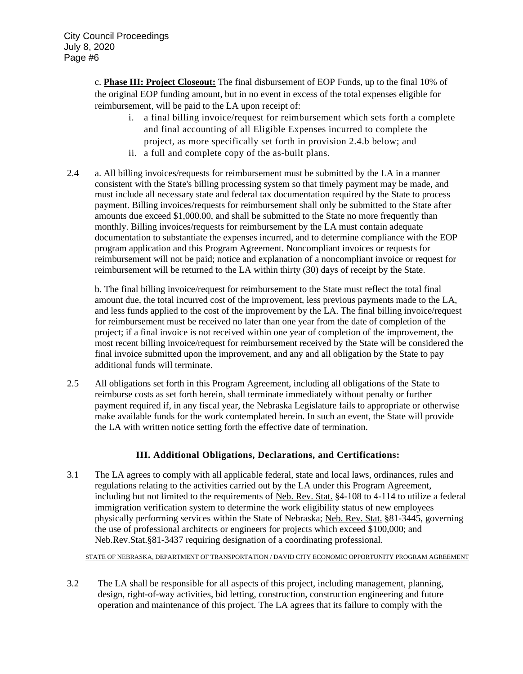c. **Phase III: Project Closeout:** The final disbursement of EOP Funds, up to the final 10% of the original EOP funding amount, but in no event in excess of the total expenses eligible for reimbursement, will be paid to the LA upon receipt of:

- i. a final billing invoice/request for reimbursement which sets forth a complete and final accounting of all Eligible Expenses incurred to complete the project, as more specifically set forth in provision 2.4.b below; and
- ii. a full and complete copy of the as-built plans.
- 2.4 a. All billing invoices/requests for reimbursement must be submitted by the LA in a manner consistent with the State's billing processing system so that timely payment may be made, and must include all necessary state and federal tax documentation required by the State to process payment. Billing invoices/requests for reimbursement shall only be submitted to the State after amounts due exceed \$1,000.00, and shall be submitted to the State no more frequently than monthly. Billing invoices/requests for reimbursement by the LA must contain adequate documentation to substantiate the expenses incurred, and to determine compliance with the EOP program application and this Program Agreement. Noncompliant invoices or requests for reimbursement will not be paid; notice and explanation of a noncompliant invoice or request for reimbursement will be returned to the LA within thirty (30) days of receipt by the State.

b. The final billing invoice/request for reimbursement to the State must reflect the total final amount due, the total incurred cost of the improvement, less previous payments made to the LA, and less funds applied to the cost of the improvement by the LA. The final billing invoice/request for reimbursement must be received no later than one year from the date of completion of the project; if a final invoice is not received within one year of completion of the improvement, the most recent billing invoice/request for reimbursement received by the State will be considered the final invoice submitted upon the improvement, and any and all obligation by the State to pay additional funds will terminate.

2.5 All obligations set forth in this Program Agreement, including all obligations of the State to reimburse costs as set forth herein, shall terminate immediately without penalty or further payment required if, in any fiscal year, the Nebraska Legislature fails to appropriate or otherwise make available funds for the work contemplated herein. In such an event, the State will provide the LA with written notice setting forth the effective date of termination.

# **III. Additional Obligations, Declarations, and Certifications:**

3.1 The LA agrees to comply with all applicable federal, state and local laws, ordinances, rules and regulations relating to the activities carried out by the LA under this Program Agreement, including but not limited to the requirements of Neb. Rev. Stat. §4-108 to 4-114 to utilize a federal immigration verification system to determine the work eligibility status of new employees physically performing services within the State of Nebraska; Neb. Rev. Stat. §81-3445, governing the use of professional architects or engineers for projects which exceed \$100,000; and Neb.Rev.Stat.§81-3437 requiring designation of a coordinating professional.

STATE OF NEBRASKA, DEPARTMENT OF TRANSPORTATION / DAVID CITY ECONOMIC OPPORTUNITY PROGRAM AGREEMENT

3.2 The LA shall be responsible for all aspects of this project, including management, planning, design, right-of-way activities, bid letting, construction, construction engineering and future operation and maintenance of this project. The LA agrees that its failure to comply with the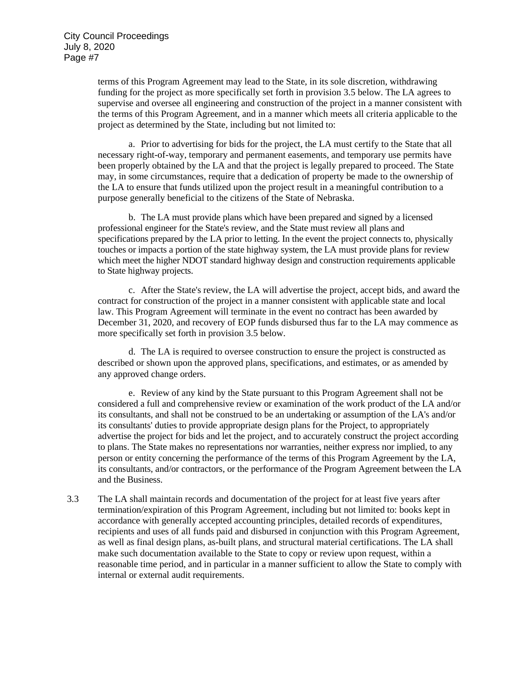terms of this Program Agreement may lead to the State, in its sole discretion, withdrawing funding for the project as more specifically set forth in provision 3.5 below. The LA agrees to supervise and oversee all engineering and construction of the project in a manner consistent with the terms of this Program Agreement, and in a manner which meets all criteria applicable to the project as determined by the State, including but not limited to:

a. Prior to advertising for bids for the project, the LA must certify to the State that all necessary right-of-way, temporary and permanent easements, and temporary use permits have been properly obtained by the LA and that the project is legally prepared to proceed. The State may, in some circumstances, require that a dedication of property be made to the ownership of the LA to ensure that funds utilized upon the project result in a meaningful contribution to a purpose generally beneficial to the citizens of the State of Nebraska.

b. The LA must provide plans which have been prepared and signed by a licensed professional engineer for the State's review, and the State must review all plans and specifications prepared by the LA prior to letting. In the event the project connects to, physically touches or impacts a portion of the state highway system, the LA must provide plans for review which meet the higher NDOT standard highway design and construction requirements applicable to State highway projects.

c. After the State's review, the LA will advertise the project, accept bids, and award the contract for construction of the project in a manner consistent with applicable state and local law. This Program Agreement will terminate in the event no contract has been awarded by December 31, 2020, and recovery of EOP funds disbursed thus far to the LA may commence as more specifically set forth in provision 3.5 below.

d. The LA is required to oversee construction to ensure the project is constructed as described or shown upon the approved plans, specifications, and estimates, or as amended by any approved change orders.

e. Review of any kind by the State pursuant to this Program Agreement shall not be considered a full and comprehensive review or examination of the work product of the LA and/or its consultants, and shall not be construed to be an undertaking or assumption of the LA's and/or its consultants' duties to provide appropriate design plans for the Project, to appropriately advertise the project for bids and let the project, and to accurately construct the project according to plans. The State makes no representations nor warranties, neither express nor implied, to any person or entity concerning the performance of the terms of this Program Agreement by the LA, its consultants, and/or contractors, or the performance of the Program Agreement between the LA and the Business.

3.3 The LA shall maintain records and documentation of the project for at least five years after termination/expiration of this Program Agreement, including but not limited to: books kept in accordance with generally accepted accounting principles, detailed records of expenditures, recipients and uses of all funds paid and disbursed in conjunction with this Program Agreement, as well as final design plans, as-built plans, and structural material certifications. The LA shall make such documentation available to the State to copy or review upon request, within a reasonable time period, and in particular in a manner sufficient to allow the State to comply with internal or external audit requirements.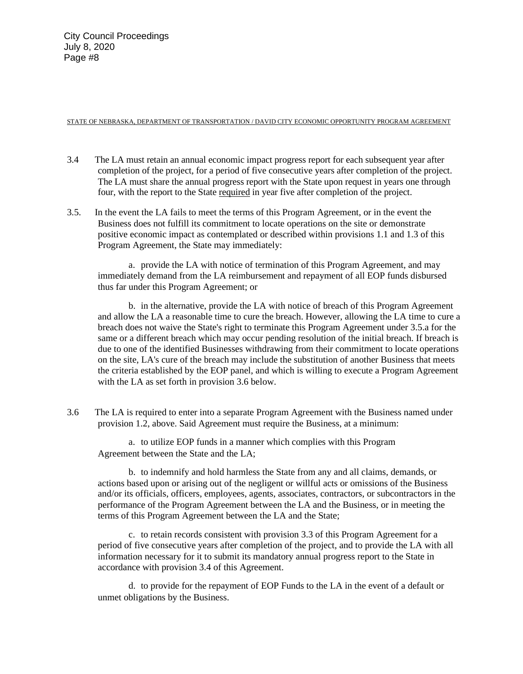#### STATE OF NEBRASKA, DEPARTMENT OF TRANSPORTATION / DAVID CITY ECONOMIC OPPORTUNITY PROGRAM AGREEMENT

- 3.4 The LA must retain an annual economic impact progress report for each subsequent year after completion of the project, for a period of five consecutive years after completion of the project. The LA must share the annual progress report with the State upon request in years one through four, with the report to the State required in year five after completion of the project.
- 3.5. In the event the LA fails to meet the terms of this Program Agreement, or in the event the Business does not fulfill its commitment to locate operations on the site or demonstrate positive economic impact as contemplated or described within provisions 1.1 and 1.3 of this Program Agreement, the State may immediately:

a. provide the LA with notice of termination of this Program Agreement, and may immediately demand from the LA reimbursement and repayment of all EOP funds disbursed thus far under this Program Agreement; or

b. in the alternative, provide the LA with notice of breach of this Program Agreement and allow the LA a reasonable time to cure the breach. However, allowing the LA time to cure a breach does not waive the State's right to terminate this Program Agreement under 3.5.a for the same or a different breach which may occur pending resolution of the initial breach. If breach is due to one of the identified Businesses withdrawing from their commitment to locate operations on the site, LA's cure of the breach may include the substitution of another Business that meets the criteria established by the EOP panel, and which is willing to execute a Program Agreement with the LA as set forth in provision 3.6 below.

3.6 The LA is required to enter into a separate Program Agreement with the Business named under provision 1.2, above. Said Agreement must require the Business, at a minimum:

a. to utilize EOP funds in a manner which complies with this Program Agreement between the State and the LA;

b. to indemnify and hold harmless the State from any and all claims, demands, or actions based upon or arising out of the negligent or willful acts or omissions of the Business and/or its officials, officers, employees, agents, associates, contractors, or subcontractors in the performance of the Program Agreement between the LA and the Business, or in meeting the terms of this Program Agreement between the LA and the State;

c. to retain records consistent with provision 3.3 of this Program Agreement for a period of five consecutive years after completion of the project, and to provide the LA with all information necessary for it to submit its mandatory annual progress report to the State in accordance with provision 3.4 of this Agreement.

d. to provide for the repayment of EOP Funds to the LA in the event of a default or unmet obligations by the Business.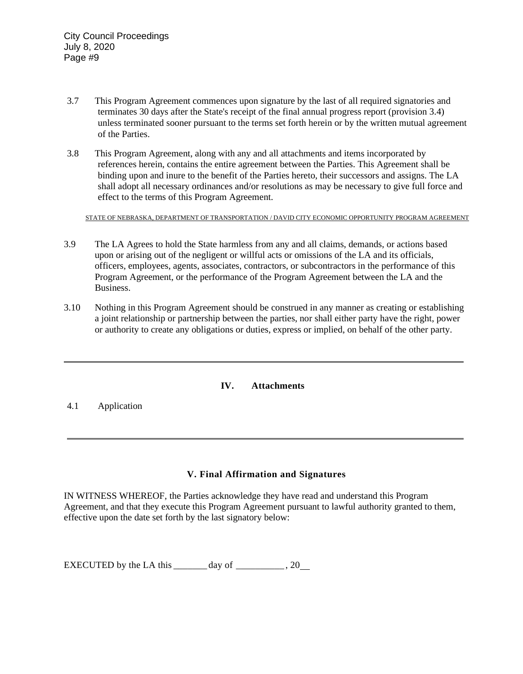- 3.7 This Program Agreement commences upon signature by the last of all required signatories and terminates 30 days after the State's receipt of the final annual progress report (provision 3.4) unless terminated sooner pursuant to the terms set forth herein or by the written mutual agreement of the Parties.
- 3.8 This Program Agreement, along with any and all attachments and items incorporated by references herein, contains the entire agreement between the Parties. This Agreement shall be binding upon and inure to the benefit of the Parties hereto, their successors and assigns. The LA shall adopt all necessary ordinances and/or resolutions as may be necessary to give full force and effect to the terms of this Program Agreement.

STATE OF NEBRASKA, DEPARTMENT OF TRANSPORTATION / DAVID CITY ECONOMIC OPPORTUNITY PROGRAM AGREEMENT

- 3.9 The LA Agrees to hold the State harmless from any and all claims, demands, or actions based upon or arising out of the negligent or willful acts or omissions of the LA and its officials, officers, employees, agents, associates, contractors, or subcontractors in the performance of this Program Agreement, or the performance of the Program Agreement between the LA and the Business.
- 3.10 Nothing in this Program Agreement should be construed in any manner as creating or establishing a joint relationship or partnership between the parties, nor shall either party have the right, power or authority to create any obligations or duties, express or implied, on behalf of the other party.

### **IV. Attachments**

4.1 Application

# **V. Final Affirmation and Signatures**

 $\overline{\phantom{a}}$ 

IN WITNESS WHEREOF, the Parties acknowledge they have read and understand this Program Agreement, and that they execute this Program Agreement pursuant to lawful authority granted to them, effective upon the date set forth by the last signatory below:

EXECUTED by the LA this  $\frac{day}{dx}$  of  $\frac{20}{x^2}$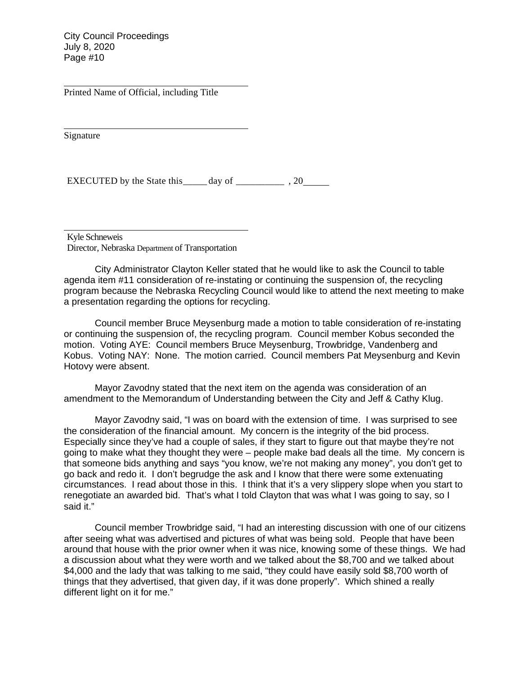Printed Name of Official, including Title

Signature

EXECUTED by the State this  $\qquad \qquad$  day of  $\qquad \qquad$ , 20

Kyle Schneweis

Director, Nebraska Department of Transportation

City Administrator Clayton Keller stated that he would like to ask the Council to table agenda item #11 consideration of re-instating or continuing the suspension of, the recycling program because the Nebraska Recycling Council would like to attend the next meeting to make a presentation regarding the options for recycling.

Council member Bruce Meysenburg made a motion to table consideration of re-instating or continuing the suspension of, the recycling program. Council member Kobus seconded the motion. Voting AYE: Council members Bruce Meysenburg, Trowbridge, Vandenberg and Kobus. Voting NAY: None. The motion carried. Council members Pat Meysenburg and Kevin Hotovy were absent.

Mayor Zavodny stated that the next item on the agenda was consideration of an amendment to the Memorandum of Understanding between the City and Jeff & Cathy Klug.

Mayor Zavodny said, "I was on board with the extension of time. I was surprised to see the consideration of the financial amount. My concern is the integrity of the bid process. Especially since they've had a couple of sales, if they start to figure out that maybe they're not going to make what they thought they were – people make bad deals all the time. My concern is that someone bids anything and says "you know, we're not making any money", you don't get to go back and redo it. I don't begrudge the ask and I know that there were some extenuating circumstances. I read about those in this. I think that it's a very slippery slope when you start to renegotiate an awarded bid. That's what I told Clayton that was what I was going to say, so I said it."

Council member Trowbridge said, "I had an interesting discussion with one of our citizens after seeing what was advertised and pictures of what was being sold. People that have been around that house with the prior owner when it was nice, knowing some of these things. We had a discussion about what they were worth and we talked about the \$8,700 and we talked about \$4,000 and the lady that was talking to me said, "they could have easily sold \$8,700 worth of things that they advertised, that given day, if it was done properly". Which shined a really different light on it for me."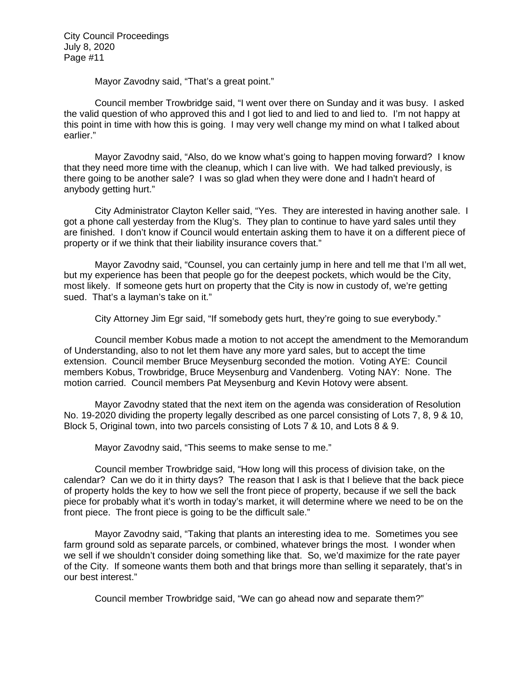Mayor Zavodny said, "That's a great point."

Council member Trowbridge said, "I went over there on Sunday and it was busy. I asked the valid question of who approved this and I got lied to and lied to and lied to. I'm not happy at this point in time with how this is going. I may very well change my mind on what I talked about earlier."

Mayor Zavodny said, "Also, do we know what's going to happen moving forward? I know that they need more time with the cleanup, which I can live with. We had talked previously, is there going to be another sale? I was so glad when they were done and I hadn't heard of anybody getting hurt."

City Administrator Clayton Keller said, "Yes. They are interested in having another sale. I got a phone call yesterday from the Klug's. They plan to continue to have yard sales until they are finished. I don't know if Council would entertain asking them to have it on a different piece of property or if we think that their liability insurance covers that."

Mayor Zavodny said, "Counsel, you can certainly jump in here and tell me that I'm all wet, but my experience has been that people go for the deepest pockets, which would be the City, most likely. If someone gets hurt on property that the City is now in custody of, we're getting sued. That's a layman's take on it."

City Attorney Jim Egr said, "If somebody gets hurt, they're going to sue everybody."

Council member Kobus made a motion to not accept the amendment to the Memorandum of Understanding, also to not let them have any more yard sales, but to accept the time extension. Council member Bruce Meysenburg seconded the motion. Voting AYE: Council members Kobus, Trowbridge, Bruce Meysenburg and Vandenberg. Voting NAY: None. The motion carried. Council members Pat Meysenburg and Kevin Hotovy were absent.

Mayor Zavodny stated that the next item on the agenda was consideration of Resolution No. 19-2020 dividing the property legally described as one parcel consisting of Lots 7, 8, 9 & 10, Block 5, Original town, into two parcels consisting of Lots 7 & 10, and Lots 8 & 9.

Mayor Zavodny said, "This seems to make sense to me."

Council member Trowbridge said, "How long will this process of division take, on the calendar? Can we do it in thirty days? The reason that I ask is that I believe that the back piece of property holds the key to how we sell the front piece of property, because if we sell the back piece for probably what it's worth in today's market, it will determine where we need to be on the front piece. The front piece is going to be the difficult sale."

Mayor Zavodny said, "Taking that plants an interesting idea to me. Sometimes you see farm ground sold as separate parcels, or combined, whatever brings the most. I wonder when we sell if we shouldn't consider doing something like that. So, we'd maximize for the rate payer of the City. If someone wants them both and that brings more than selling it separately, that's in our best interest."

Council member Trowbridge said, "We can go ahead now and separate them?"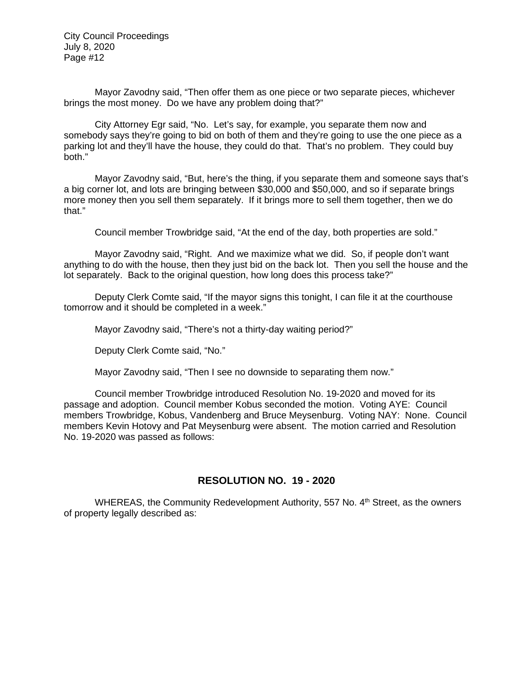Mayor Zavodny said, "Then offer them as one piece or two separate pieces, whichever brings the most money. Do we have any problem doing that?"

City Attorney Egr said, "No. Let's say, for example, you separate them now and somebody says they're going to bid on both of them and they're going to use the one piece as a parking lot and they'll have the house, they could do that. That's no problem. They could buy both."

Mayor Zavodny said, "But, here's the thing, if you separate them and someone says that's a big corner lot, and lots are bringing between \$30,000 and \$50,000, and so if separate brings more money then you sell them separately. If it brings more to sell them together, then we do that."

Council member Trowbridge said, "At the end of the day, both properties are sold."

Mayor Zavodny said, "Right. And we maximize what we did. So, if people don't want anything to do with the house, then they just bid on the back lot. Then you sell the house and the lot separately. Back to the original question, how long does this process take?"

Deputy Clerk Comte said, "If the mayor signs this tonight, I can file it at the courthouse tomorrow and it should be completed in a week."

Mayor Zavodny said, "There's not a thirty-day waiting period?"

Deputy Clerk Comte said, "No."

Mayor Zavodny said, "Then I see no downside to separating them now."

Council member Trowbridge introduced Resolution No. 19-2020 and moved for its passage and adoption. Council member Kobus seconded the motion. Voting AYE: Council members Trowbridge, Kobus, Vandenberg and Bruce Meysenburg. Voting NAY: None. Council members Kevin Hotovy and Pat Meysenburg were absent. The motion carried and Resolution No. 19-2020 was passed as follows:

### **RESOLUTION NO. 19 - 2020**

WHEREAS, the Community Redevelopment Authority, 557 No. 4<sup>th</sup> Street, as the owners of property legally described as: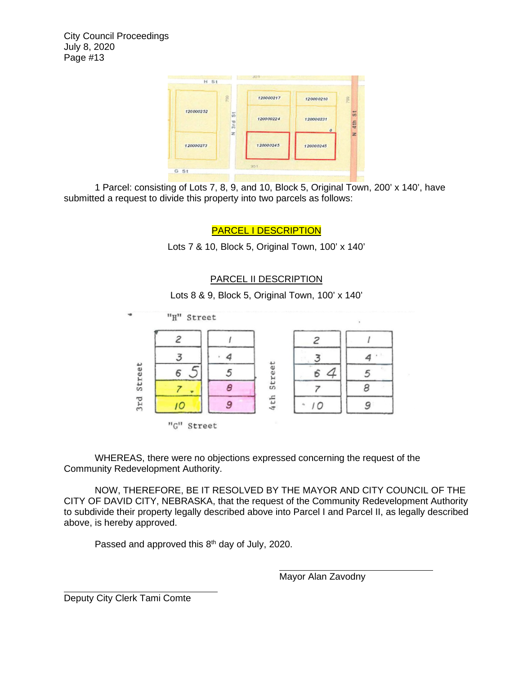

1 Parcel: consisting of Lots 7, 8, 9, and 10, Block 5, Original Town, 200' x 140', have submitted a request to divide this property into two parcels as follows:

PARCEL I DESCRIPTION

Lots 7 & 10, Block 5, Original Town, 100' x 140'

### PARCEL II DESCRIPTION

Lots 8 & 9, Block 5, Original Town, 100' x 140'



WHEREAS, there were no objections expressed concerning the request of the Community Redevelopment Authority.

NOW, THEREFORE, BE IT RESOLVED BY THE MAYOR AND CITY COUNCIL OF THE CITY OF DAVID CITY, NEBRASKA, that the request of the Community Redevelopment Authority to subdivide their property legally described above into Parcel I and Parcel II, as legally described above, is hereby approved.

Passed and approved this  $8<sup>th</sup>$  day of July, 2020.

Mayor Alan Zavodny

Deputy City Clerk Tami Comte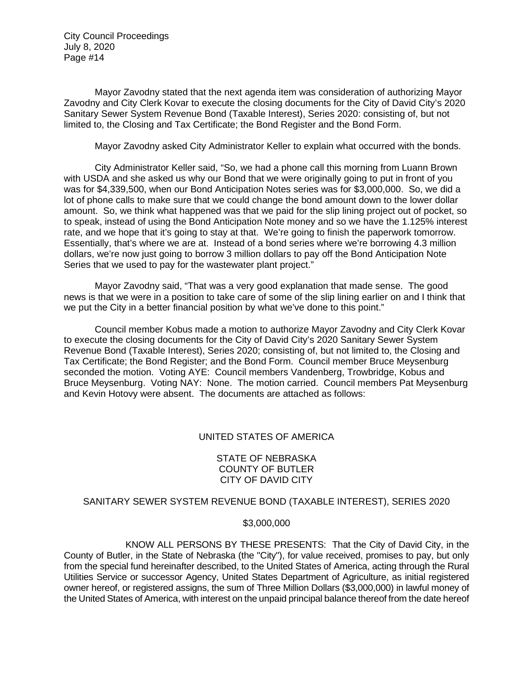Mayor Zavodny stated that the next agenda item was consideration of authorizing Mayor Zavodny and City Clerk Kovar to execute the closing documents for the City of David City's 2020 Sanitary Sewer System Revenue Bond (Taxable Interest), Series 2020: consisting of, but not limited to, the Closing and Tax Certificate; the Bond Register and the Bond Form.

Mayor Zavodny asked City Administrator Keller to explain what occurred with the bonds.

City Administrator Keller said, "So, we had a phone call this morning from Luann Brown with USDA and she asked us why our Bond that we were originally going to put in front of you was for \$4,339,500, when our Bond Anticipation Notes series was for \$3,000,000. So, we did a lot of phone calls to make sure that we could change the bond amount down to the lower dollar amount. So, we think what happened was that we paid for the slip lining project out of pocket, so to speak, instead of using the Bond Anticipation Note money and so we have the 1.125% interest rate, and we hope that it's going to stay at that. We're going to finish the paperwork tomorrow. Essentially, that's where we are at. Instead of a bond series where we're borrowing 4.3 million dollars, we're now just going to borrow 3 million dollars to pay off the Bond Anticipation Note Series that we used to pay for the wastewater plant project."

Mayor Zavodny said, "That was a very good explanation that made sense. The good news is that we were in a position to take care of some of the slip lining earlier on and I think that we put the City in a better financial position by what we've done to this point."

Council member Kobus made a motion to authorize Mayor Zavodny and City Clerk Kovar to execute the closing documents for the City of David City's 2020 Sanitary Sewer System Revenue Bond (Taxable Interest), Series 2020; consisting of, but not limited to, the Closing and Tax Certificate; the Bond Register; and the Bond Form. Council member Bruce Meysenburg seconded the motion. Voting AYE: Council members Vandenberg, Trowbridge, Kobus and Bruce Meysenburg. Voting NAY: None. The motion carried. Council members Pat Meysenburg and Kevin Hotovy were absent. The documents are attached as follows:

### UNITED STATES OF AMERICA

### STATE OF NEBRASKA COUNTY OF BUTLER CITY OF DAVID CITY

#### SANITARY SEWER SYSTEM REVENUE BOND (TAXABLE INTEREST), SERIES 2020

#### \$3,000,000

KNOW ALL PERSONS BY THESE PRESENTS: That the City of David City, in the County of Butler, in the State of Nebraska (the "City"), for value received, promises to pay, but only from the special fund hereinafter described, to the United States of America, acting through the Rural Utilities Service or successor Agency, United States Department of Agriculture, as initial registered owner hereof, or registered assigns, the sum of Three Million Dollars (\$3,000,000) in lawful money of the United States of America, with interest on the unpaid principal balance thereof from the date hereof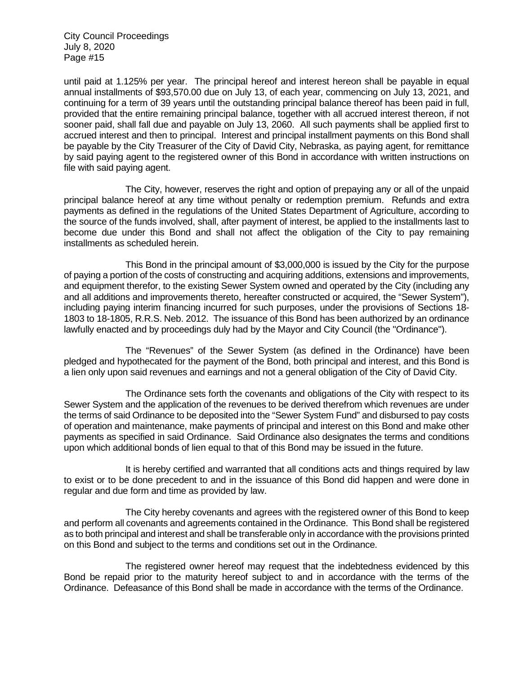until paid at 1.125% per year. The principal hereof and interest hereon shall be payable in equal annual installments of \$93,570.00 due on July 13, of each year, commencing on July 13, 2021, and continuing for a term of 39 years until the outstanding principal balance thereof has been paid in full, provided that the entire remaining principal balance, together with all accrued interest thereon, if not sooner paid, shall fall due and payable on July 13, 2060. All such payments shall be applied first to accrued interest and then to principal. Interest and principal installment payments on this Bond shall be payable by the City Treasurer of the City of David City, Nebraska, as paying agent, for remittance by said paying agent to the registered owner of this Bond in accordance with written instructions on file with said paying agent.

The City, however, reserves the right and option of prepaying any or all of the unpaid principal balance hereof at any time without penalty or redemption premium. Refunds and extra payments as defined in the regulations of the United States Department of Agriculture, according to the source of the funds involved, shall, after payment of interest, be applied to the installments last to become due under this Bond and shall not affect the obligation of the City to pay remaining installments as scheduled herein.

This Bond in the principal amount of \$3,000,000 is issued by the City for the purpose of paying a portion of the costs of constructing and acquiring additions, extensions and improvements, and equipment therefor, to the existing Sewer System owned and operated by the City (including any and all additions and improvements thereto, hereafter constructed or acquired, the "Sewer System"), including paying interim financing incurred for such purposes, under the provisions of Sections 18- 1803 to 18-1805, R.R.S. Neb. 2012. The issuance of this Bond has been authorized by an ordinance lawfully enacted and by proceedings duly had by the Mayor and City Council (the "Ordinance").

The "Revenues" of the Sewer System (as defined in the Ordinance) have been pledged and hypothecated for the payment of the Bond, both principal and interest, and this Bond is a lien only upon said revenues and earnings and not a general obligation of the City of David City.

The Ordinance sets forth the covenants and obligations of the City with respect to its Sewer System and the application of the revenues to be derived therefrom which revenues are under the terms of said Ordinance to be deposited into the "Sewer System Fund" and disbursed to pay costs of operation and maintenance, make payments of principal and interest on this Bond and make other payments as specified in said Ordinance. Said Ordinance also designates the terms and conditions upon which additional bonds of lien equal to that of this Bond may be issued in the future.

It is hereby certified and warranted that all conditions acts and things required by law to exist or to be done precedent to and in the issuance of this Bond did happen and were done in regular and due form and time as provided by law.

The City hereby covenants and agrees with the registered owner of this Bond to keep and perform all covenants and agreements contained in the Ordinance. This Bond shall be registered as to both principal and interest and shall be transferable only in accordance with the provisions printed on this Bond and subject to the terms and conditions set out in the Ordinance.

The registered owner hereof may request that the indebtedness evidenced by this Bond be repaid prior to the maturity hereof subject to and in accordance with the terms of the Ordinance. Defeasance of this Bond shall be made in accordance with the terms of the Ordinance.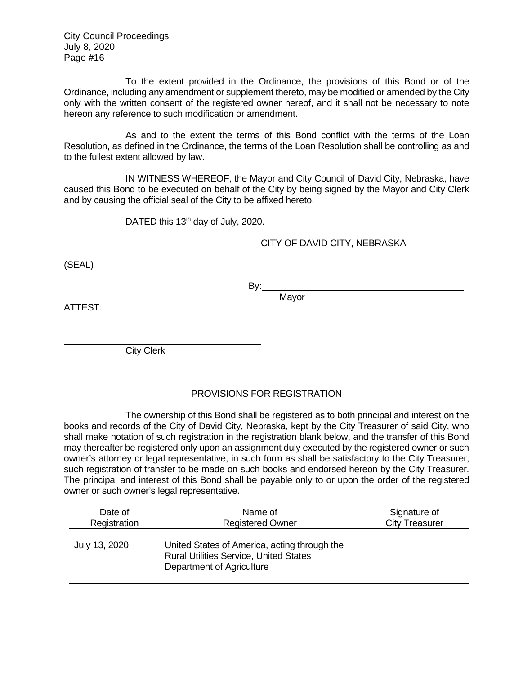To the extent provided in the Ordinance, the provisions of this Bond or of the Ordinance, including any amendment or supplement thereto, may be modified or amended by the City only with the written consent of the registered owner hereof, and it shall not be necessary to note hereon any reference to such modification or amendment.

As and to the extent the terms of this Bond conflict with the terms of the Loan Resolution, as defined in the Ordinance, the terms of the Loan Resolution shall be controlling as and to the fullest extent allowed by law.

IN WITNESS WHEREOF, the Mayor and City Council of David City, Nebraska, have caused this Bond to be executed on behalf of the City by being signed by the Mayor and City Clerk and by causing the official seal of the City to be affixed hereto.

DATED this 13<sup>th</sup> day of July, 2020.

### CITY OF DAVID CITY, NEBRASKA

(SEAL)

By: **Mavor** 

ATTEST:

 $\frac{1}{2}$ City Clerk

### PROVISIONS FOR REGISTRATION

The ownership of this Bond shall be registered as to both principal and interest on the books and records of the City of David City, Nebraska, kept by the City Treasurer of said City, who shall make notation of such registration in the registration blank below, and the transfer of this Bond may thereafter be registered only upon an assignment duly executed by the registered owner or such owner's attorney or legal representative, in such form as shall be satisfactory to the City Treasurer, such registration of transfer to be made on such books and endorsed hereon by the City Treasurer. The principal and interest of this Bond shall be payable only to or upon the order of the registered owner or such owner's legal representative.

| Date of       | Name of                                                                                                                    | Signature of          |
|---------------|----------------------------------------------------------------------------------------------------------------------------|-----------------------|
| Registration  | <b>Registered Owner</b>                                                                                                    | <b>City Treasurer</b> |
| July 13, 2020 | United States of America, acting through the<br><b>Rural Utilities Service, United States</b><br>Department of Agriculture |                       |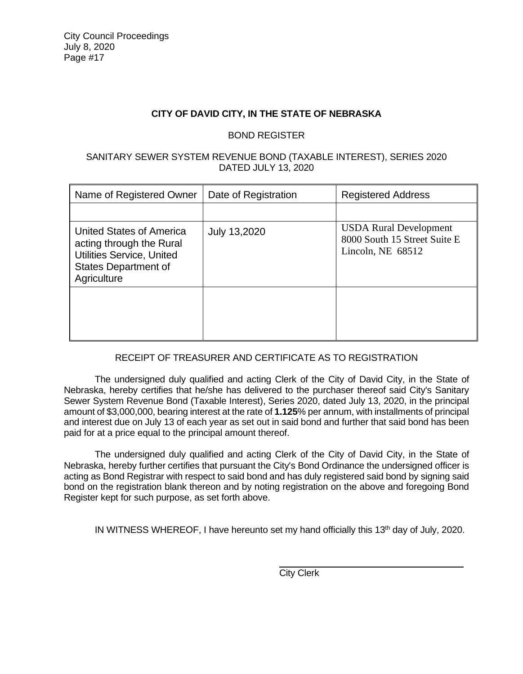### **CITY OF DAVID CITY, IN THE STATE OF NEBRASKA**

### BOND REGISTER

### SANITARY SEWER SYSTEM REVENUE BOND (TAXABLE INTEREST), SERIES 2020 DATED JULY 13, 2020

| Name of Registered Owner                                                                                                                      | Date of Registration | <b>Registered Address</b>                                                          |
|-----------------------------------------------------------------------------------------------------------------------------------------------|----------------------|------------------------------------------------------------------------------------|
|                                                                                                                                               |                      |                                                                                    |
| <b>United States of America</b><br>acting through the Rural<br><b>Utilities Service, United</b><br><b>States Department of</b><br>Agriculture | July 13,2020         | <b>USDA Rural Development</b><br>8000 South 15 Street Suite E<br>Lincoln, NE 68512 |
|                                                                                                                                               |                      |                                                                                    |

# RECEIPT OF TREASURER AND CERTIFICATE AS TO REGISTRATION

The undersigned duly qualified and acting Clerk of the City of David City, in the State of Nebraska, hereby certifies that he/she has delivered to the purchaser thereof said City's Sanitary Sewer System Revenue Bond (Taxable Interest), Series 2020, dated July 13, 2020, in the principal amount of \$3,000,000, bearing interest at the rate of **1.125**% per annum, with installments of principal and interest due on July 13 of each year as set out in said bond and further that said bond has been paid for at a price equal to the principal amount thereof.

The undersigned duly qualified and acting Clerk of the City of David City, in the State of Nebraska, hereby further certifies that pursuant the City's Bond Ordinance the undersigned officer is acting as Bond Registrar with respect to said bond and has duly registered said bond by signing said bond on the registration blank thereon and by noting registration on the above and foregoing Bond Register kept for such purpose, as set forth above.

IN WITNESS WHEREOF, I have hereunto set my hand officially this 13th day of July, 2020.

**City Clerk**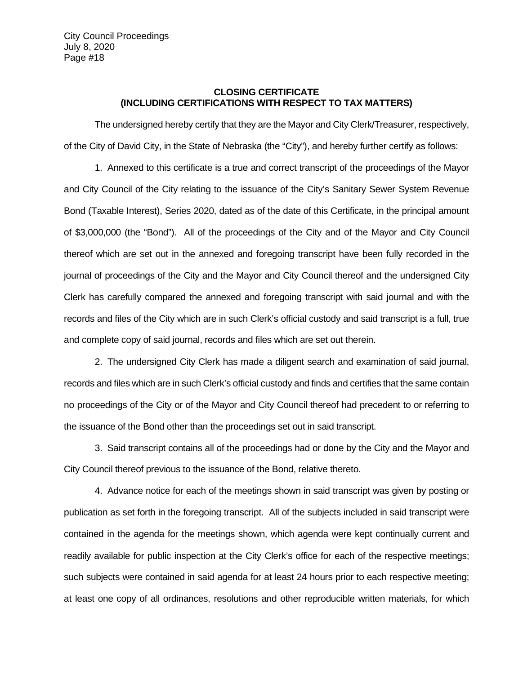### **CLOSING CERTIFICATE (INCLUDING CERTIFICATIONS WITH RESPECT TO TAX MATTERS)**

The undersigned hereby certify that they are the Mayor and City Clerk/Treasurer, respectively, of the City of David City, in the State of Nebraska (the "City"), and hereby further certify as follows:

1. Annexed to this certificate is a true and correct transcript of the proceedings of the Mayor and City Council of the City relating to the issuance of the City's Sanitary Sewer System Revenue Bond (Taxable Interest), Series 2020, dated as of the date of this Certificate, in the principal amount of \$3,000,000 (the "Bond"). All of the proceedings of the City and of the Mayor and City Council thereof which are set out in the annexed and foregoing transcript have been fully recorded in the journal of proceedings of the City and the Mayor and City Council thereof and the undersigned City Clerk has carefully compared the annexed and foregoing transcript with said journal and with the records and files of the City which are in such Clerk's official custody and said transcript is a full, true and complete copy of said journal, records and files which are set out therein.

2. The undersigned City Clerk has made a diligent search and examination of said journal, records and files which are in such Clerk's official custody and finds and certifies that the same contain no proceedings of the City or of the Mayor and City Council thereof had precedent to or referring to the issuance of the Bond other than the proceedings set out in said transcript.

3. Said transcript contains all of the proceedings had or done by the City and the Mayor and City Council thereof previous to the issuance of the Bond, relative thereto.

 4. Advance notice for each of the meetings shown in said transcript was given by posting or publication as set forth in the foregoing transcript. All of the subjects included in said transcript were contained in the agenda for the meetings shown, which agenda were kept continually current and readily available for public inspection at the City Clerk's office for each of the respective meetings; such subjects were contained in said agenda for at least 24 hours prior to each respective meeting; at least one copy of all ordinances, resolutions and other reproducible written materials, for which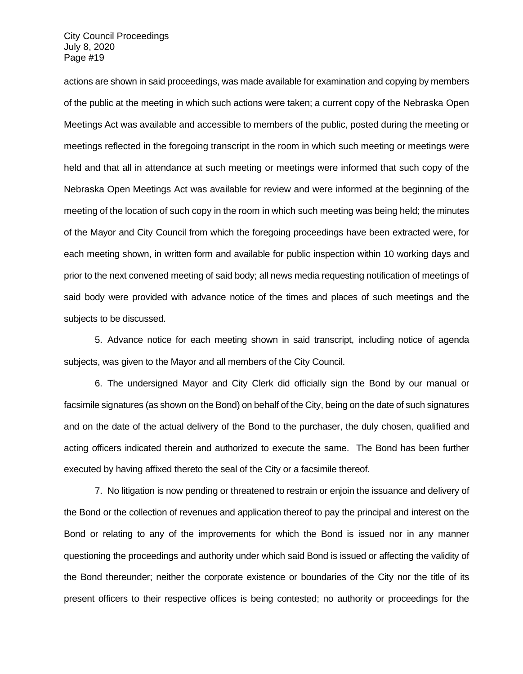actions are shown in said proceedings, was made available for examination and copying by members of the public at the meeting in which such actions were taken; a current copy of the Nebraska Open Meetings Act was available and accessible to members of the public, posted during the meeting or meetings reflected in the foregoing transcript in the room in which such meeting or meetings were held and that all in attendance at such meeting or meetings were informed that such copy of the Nebraska Open Meetings Act was available for review and were informed at the beginning of the meeting of the location of such copy in the room in which such meeting was being held; the minutes of the Mayor and City Council from which the foregoing proceedings have been extracted were, for each meeting shown, in written form and available for public inspection within 10 working days and prior to the next convened meeting of said body; all news media requesting notification of meetings of said body were provided with advance notice of the times and places of such meetings and the subjects to be discussed.

5. Advance notice for each meeting shown in said transcript, including notice of agenda subjects, was given to the Mayor and all members of the City Council.

6. The undersigned Mayor and City Clerk did officially sign the Bond by our manual or facsimile signatures (as shown on the Bond) on behalf of the City, being on the date of such signatures and on the date of the actual delivery of the Bond to the purchaser, the duly chosen, qualified and acting officers indicated therein and authorized to execute the same. The Bond has been further executed by having affixed thereto the seal of the City or a facsimile thereof.

7. No litigation is now pending or threatened to restrain or enjoin the issuance and delivery of the Bond or the collection of revenues and application thereof to pay the principal and interest on the Bond or relating to any of the improvements for which the Bond is issued nor in any manner questioning the proceedings and authority under which said Bond is issued or affecting the validity of the Bond thereunder; neither the corporate existence or boundaries of the City nor the title of its present officers to their respective offices is being contested; no authority or proceedings for the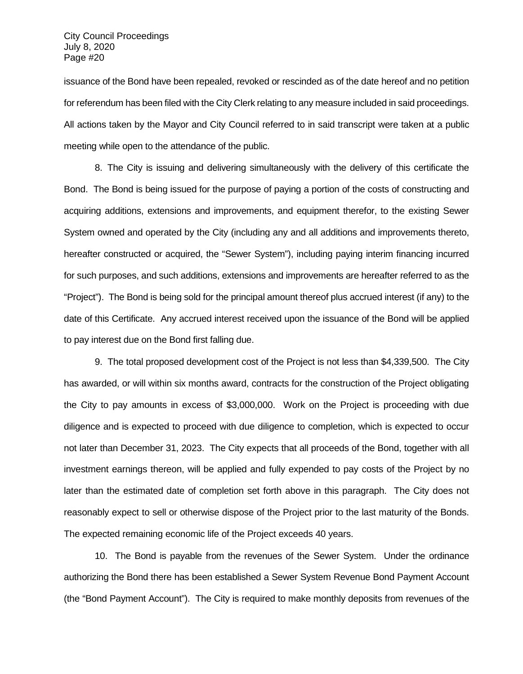issuance of the Bond have been repealed, revoked or rescinded as of the date hereof and no petition for referendum has been filed with the City Clerk relating to any measure included in said proceedings. All actions taken by the Mayor and City Council referred to in said transcript were taken at a public meeting while open to the attendance of the public.

8. The City is issuing and delivering simultaneously with the delivery of this certificate the Bond. The Bond is being issued for the purpose of paying a portion of the costs of constructing and acquiring additions, extensions and improvements, and equipment therefor, to the existing Sewer System owned and operated by the City (including any and all additions and improvements thereto, hereafter constructed or acquired, the "Sewer System"), including paying interim financing incurred for such purposes, and such additions, extensions and improvements are hereafter referred to as the "Project"). The Bond is being sold for the principal amount thereof plus accrued interest (if any) to the date of this Certificate. Any accrued interest received upon the issuance of the Bond will be applied to pay interest due on the Bond first falling due.

9. The total proposed development cost of the Project is not less than \$4,339,500. The City has awarded, or will within six months award, contracts for the construction of the Project obligating the City to pay amounts in excess of \$3,000,000. Work on the Project is proceeding with due diligence and is expected to proceed with due diligence to completion, which is expected to occur not later than December 31, 2023. The City expects that all proceeds of the Bond, together with all investment earnings thereon, will be applied and fully expended to pay costs of the Project by no later than the estimated date of completion set forth above in this paragraph. The City does not reasonably expect to sell or otherwise dispose of the Project prior to the last maturity of the Bonds. The expected remaining economic life of the Project exceeds 40 years.

10. The Bond is payable from the revenues of the Sewer System. Under the ordinance authorizing the Bond there has been established a Sewer System Revenue Bond Payment Account (the "Bond Payment Account"). The City is required to make monthly deposits from revenues of the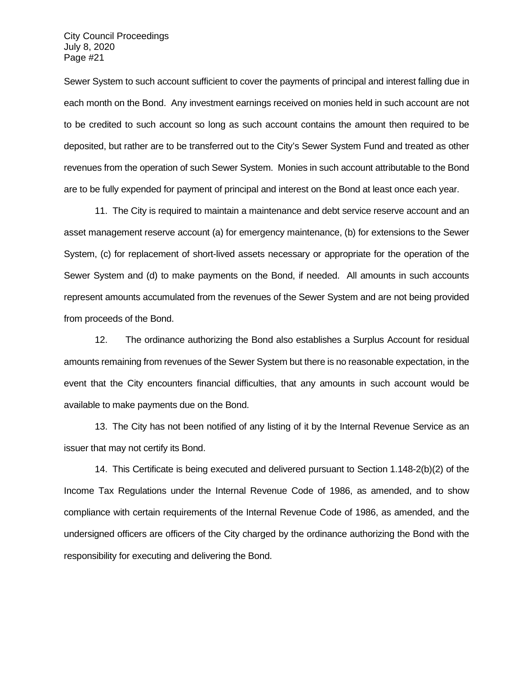Sewer System to such account sufficient to cover the payments of principal and interest falling due in each month on the Bond. Any investment earnings received on monies held in such account are not to be credited to such account so long as such account contains the amount then required to be deposited, but rather are to be transferred out to the City's Sewer System Fund and treated as other revenues from the operation of such Sewer System. Monies in such account attributable to the Bond are to be fully expended for payment of principal and interest on the Bond at least once each year.

11. The City is required to maintain a maintenance and debt service reserve account and an asset management reserve account (a) for emergency maintenance, (b) for extensions to the Sewer System, (c) for replacement of short-lived assets necessary or appropriate for the operation of the Sewer System and (d) to make payments on the Bond, if needed. All amounts in such accounts represent amounts accumulated from the revenues of the Sewer System and are not being provided from proceeds of the Bond.

12. The ordinance authorizing the Bond also establishes a Surplus Account for residual amounts remaining from revenues of the Sewer System but there is no reasonable expectation, in the event that the City encounters financial difficulties, that any amounts in such account would be available to make payments due on the Bond.

13. The City has not been notified of any listing of it by the Internal Revenue Service as an issuer that may not certify its Bond.

14. This Certificate is being executed and delivered pursuant to Section 1.148-2(b)(2) of the Income Tax Regulations under the Internal Revenue Code of 1986, as amended, and to show compliance with certain requirements of the Internal Revenue Code of 1986, as amended, and the undersigned officers are officers of the City charged by the ordinance authorizing the Bond with the responsibility for executing and delivering the Bond.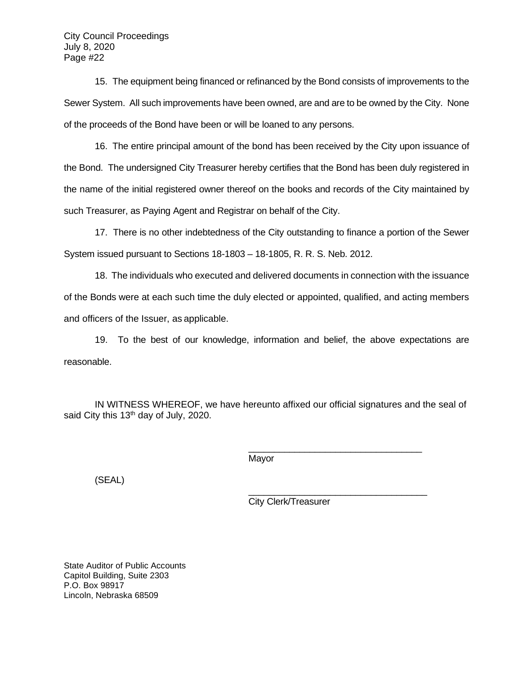15. The equipment being financed or refinanced by the Bond consists of improvements to the Sewer System. All such improvements have been owned, are and are to be owned by the City. None of the proceeds of the Bond have been or will be loaned to any persons.

16. The entire principal amount of the bond has been received by the City upon issuance of the Bond. The undersigned City Treasurer hereby certifies that the Bond has been duly registered in the name of the initial registered owner thereof on the books and records of the City maintained by such Treasurer, as Paying Agent and Registrar on behalf of the City.

17. There is no other indebtedness of the City outstanding to finance a portion of the Sewer System issued pursuant to Sections 18-1803 – 18-1805, R. R. S. Neb. 2012.

18. The individuals who executed and delivered documents in connection with the issuance of the Bonds were at each such time the duly elected or appointed, qualified, and acting members and officers of the Issuer, as applicable.

19. To the best of our knowledge, information and belief, the above expectations are reasonable.

IN WITNESS WHEREOF, we have hereunto affixed our official signatures and the seal of said City this 13<sup>th</sup> day of July, 2020.

Mayor

(SEAL)

City Clerk/Treasurer

\_\_\_\_\_\_\_\_\_\_\_\_\_\_\_\_\_\_\_\_\_\_\_\_\_\_\_\_\_\_\_\_\_\_

\_\_\_\_\_\_\_\_\_\_\_\_\_\_\_\_\_\_\_\_\_\_\_\_\_\_\_\_\_\_\_\_\_\_\_

State Auditor of Public Accounts Capitol Building, Suite 2303 P.O. Box 98917 Lincoln, Nebraska 68509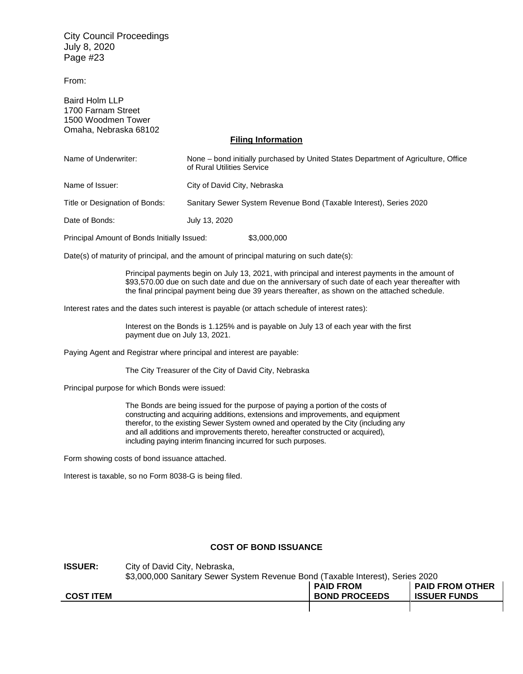From:

Baird Holm LLP 1700 Farnam Street 1500 Woodmen Tower Omaha, Nebraska 68102

#### **Filing Information**

| Name of Underwriter:                        | None – bond initially purchased by United States Department of Agriculture, Office<br>of Rural Utilities Service |  |
|---------------------------------------------|------------------------------------------------------------------------------------------------------------------|--|
| Name of Issuer:                             | City of David City, Nebraska                                                                                     |  |
| Title or Designation of Bonds:              | Sanitary Sewer System Revenue Bond (Taxable Interest), Series 2020                                               |  |
| Date of Bonds:                              | July 13, 2020                                                                                                    |  |
| Principal Amount of Bonds Initially Issued: | \$3,000,000                                                                                                      |  |

Date(s) of maturity of principal, and the amount of principal maturing on such date(s):

Principal payments begin on July 13, 2021, with principal and interest payments in the amount of \$93,570.00 due on such date and due on the anniversary of such date of each year thereafter with the final principal payment being due 39 years thereafter, as shown on the attached schedule.

Interest rates and the dates such interest is payable (or attach schedule of interest rates):

Interest on the Bonds is 1.125% and is payable on July 13 of each year with the first payment due on July 13, 2021.

Paying Agent and Registrar where principal and interest are payable:

The City Treasurer of the City of David City, Nebraska

Principal purpose for which Bonds were issued:

The Bonds are being issued for the purpose of paying a portion of the costs of constructing and acquiring additions, extensions and improvements, and equipment therefor, to the existing Sewer System owned and operated by the City (including any and all additions and improvements thereto, hereafter constructed or acquired), including paying interim financing incurred for such purposes.

Form showing costs of bond issuance attached.

Interest is taxable, so no Form 8038-G is being filed.

#### **COST OF BOND ISSUANCE**

| <b>ISSUER:</b>   | City of David City, Nebraska,<br>\$3,000,000 Sanitary Sewer System Revenue Bond (Taxable Interest), Series 2020 |                                          |                                               |
|------------------|-----------------------------------------------------------------------------------------------------------------|------------------------------------------|-----------------------------------------------|
| <b>COST ITEM</b> |                                                                                                                 | <b>PAID FROM</b><br><b>BOND PROCEEDS</b> | <b>PAID FROM OTHER</b><br><b>ISSUER FUNDS</b> |
|                  |                                                                                                                 |                                          |                                               |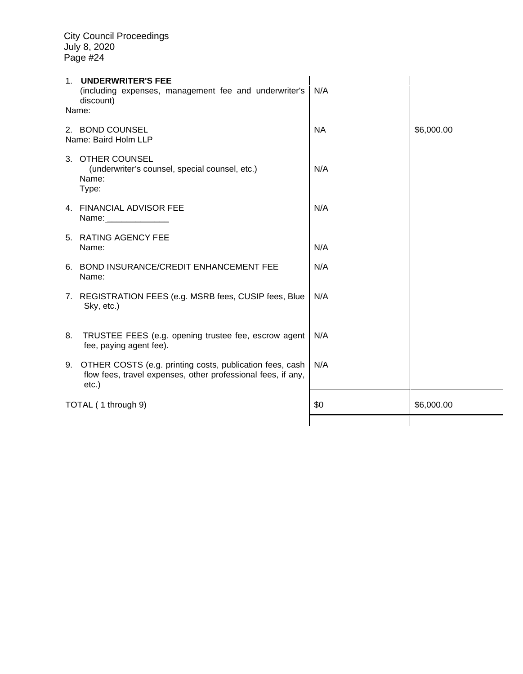| 1. UNDERWRITER'S FEE<br>(including expenses, management fee and underwriter's<br>discount)<br>Name: |                                                                                                                                         | N/A       |            |
|-----------------------------------------------------------------------------------------------------|-----------------------------------------------------------------------------------------------------------------------------------------|-----------|------------|
|                                                                                                     | 2. BOND COUNSEL<br>Name: Baird Holm LLP                                                                                                 | <b>NA</b> | \$6,000.00 |
|                                                                                                     | 3. OTHER COUNSEL<br>(underwriter's counsel, special counsel, etc.)<br>Name:<br>Type:                                                    | N/A       |            |
|                                                                                                     | 4. FINANCIAL ADVISOR FEE<br>Name: ______________                                                                                        | N/A       |            |
|                                                                                                     | 5. RATING AGENCY FEE<br>Name:                                                                                                           | N/A       |            |
|                                                                                                     | 6. BOND INSURANCE/CREDIT ENHANCEMENT FEE<br>Name:                                                                                       | N/A       |            |
|                                                                                                     | 7. REGISTRATION FEES (e.g. MSRB fees, CUSIP fees, Blue<br>Sky, etc.)                                                                    | N/A       |            |
| 8.                                                                                                  | TRUSTEE FEES (e.g. opening trustee fee, escrow agent<br>fee, paying agent fee).                                                         | N/A       |            |
|                                                                                                     | 9. OTHER COSTS (e.g. printing costs, publication fees, cash<br>flow fees, travel expenses, other professional fees, if any,<br>$etc.$ ) | N/A       |            |
| TOTAL (1 through 9)                                                                                 |                                                                                                                                         | \$0       | \$6,000.00 |
|                                                                                                     |                                                                                                                                         |           |            |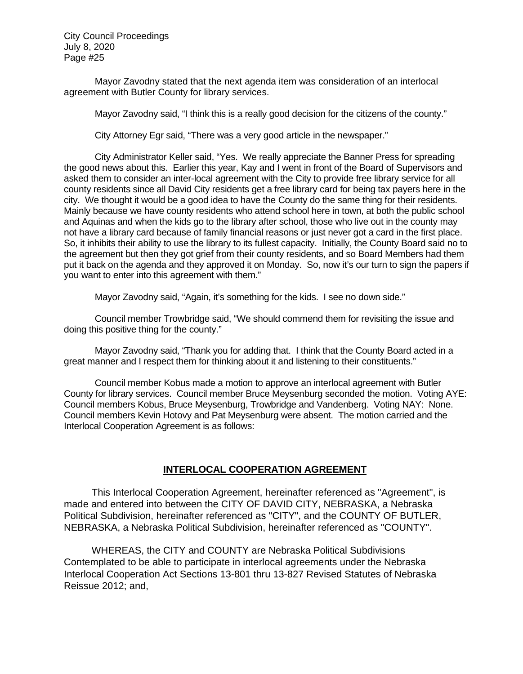Mayor Zavodny stated that the next agenda item was consideration of an interlocal agreement with Butler County for library services.

Mayor Zavodny said, "I think this is a really good decision for the citizens of the county."

City Attorney Egr said, "There was a very good article in the newspaper."

City Administrator Keller said, "Yes. We really appreciate the Banner Press for spreading the good news about this. Earlier this year, Kay and I went in front of the Board of Supervisors and asked them to consider an inter-local agreement with the City to provide free library service for all county residents since all David City residents get a free library card for being tax payers here in the city. We thought it would be a good idea to have the County do the same thing for their residents. Mainly because we have county residents who attend school here in town, at both the public school and Aquinas and when the kids go to the library after school, those who live out in the county may not have a library card because of family financial reasons or just never got a card in the first place. So, it inhibits their ability to use the library to its fullest capacity. Initially, the County Board said no to the agreement but then they got grief from their county residents, and so Board Members had them put it back on the agenda and they approved it on Monday. So, now it's our turn to sign the papers if you want to enter into this agreement with them."

Mayor Zavodny said, "Again, it's something for the kids. I see no down side."

Council member Trowbridge said, "We should commend them for revisiting the issue and doing this positive thing for the county."

Mayor Zavodny said, "Thank you for adding that. I think that the County Board acted in a great manner and I respect them for thinking about it and listening to their constituents."

Council member Kobus made a motion to approve an interlocal agreement with Butler County for library services. Council member Bruce Meysenburg seconded the motion. Voting AYE: Council members Kobus, Bruce Meysenburg, Trowbridge and Vandenberg. Voting NAY: None. Council members Kevin Hotovy and Pat Meysenburg were absent. The motion carried and the Interlocal Cooperation Agreement is as follows:

# **INTERLOCAL COOPERATION AGREEMENT**

This Interlocal Cooperation Agreement, hereinafter referenced as "Agreement", is made and entered into between the CITY OF DAVID CITY, NEBRASKA, a Nebraska Political Subdivision, hereinafter referenced as "CITY", and the COUNTY OF BUTLER, NEBRASKA, a Nebraska Political Subdivision, hereinafter referenced as "COUNTY".

WHEREAS, the CITY and COUNTY are Nebraska Political Subdivisions Contemplated to be able to participate in interlocal agreements under the Nebraska Interlocal Cooperation Act Sections 13-801 thru 13-827 Revised Statutes of Nebraska Reissue 2012; and,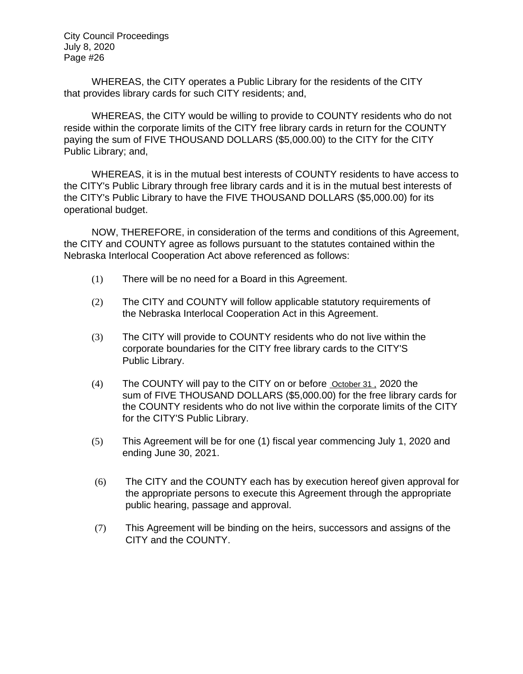WHEREAS, the CITY operates a Public Library for the residents of the CITY that provides library cards for such CITY residents; and,

WHEREAS, the CITY would be willing to provide to COUNTY residents who do not reside within the corporate limits of the CITY free library cards in return for the COUNTY paying the sum of FIVE THOUSAND DOLLARS (\$5,000.00) to the CITY for the CITY Public Library; and,

WHEREAS, it is in the mutual best interests of COUNTY residents to have access to the CITY's Public Library through free library cards and it is in the mutual best interests of the CITY's Public Library to have the FIVE THOUSAND DOLLARS (\$5,000.00) for its operational budget.

NOW, THEREFORE, in consideration of the terms and conditions of this Agreement, the CITY and COUNTY agree as follows pursuant to the statutes contained within the Nebraska Interlocal Cooperation Act above referenced as follows:

- (1) There will be no need for a Board in this Agreement.
- (2) The CITY and COUNTY will follow applicable statutory requirements of the Nebraska Interlocal Cooperation Act in this Agreement.
- (3) The CITY will provide to COUNTY residents who do not live within the corporate boundaries for the CITY free library cards to the CITY'S Public Library.
- (4) The COUNTY will pay to the CITY on or before October 31 , 2020 the sum of FIVE THOUSAND DOLLARS (\$5,000.00) for the free library cards for the COUNTY residents who do not live within the corporate limits of the CITY for the CITY'S Public Library.
- (5) This Agreement will be for one (1) fiscal year commencing July 1, 2020 and ending June 30, 2021.
- (6) The CITY and the COUNTY each has by execution hereof given approval for the appropriate persons to execute this Agreement through the appropriate public hearing, passage and approval.
- (7) This Agreement will be binding on the heirs, successors and assigns of the CITY and the COUNTY.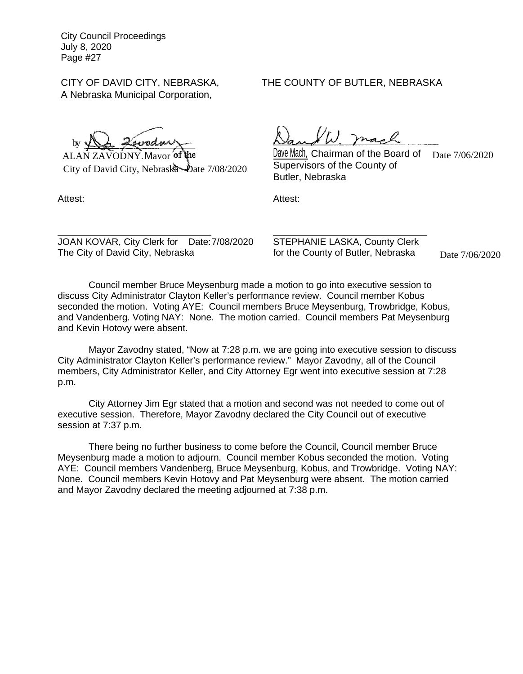A Nebraska Municipal Corporation,

by

ALAN ZAVODNY, Mayor of City of David City, Nebraska - Date 7/08/2020

# CITY OF DAVID CITY, NEBRASKA, THE COUNTY OF BUTLER, NEBRASKA

W. mach

phistanal controller Mach, Chairman of the Board of Date 7/06/2020 Supervisors of the County of Butler, Nebraska

Attest: Attest:

JOAN KOVAR, City Clerk for Date: 7/08/2020 STEPHANIE LASKA, County Clerk The City of David City, Nebraska for the County of Butler, Nebraska

Date 7/06/2020

Council member Bruce Meysenburg made a motion to go into executive session to discuss City Administrator Clayton Keller's performance review. Council member Kobus seconded the motion. Voting AYE: Council members Bruce Meysenburg, Trowbridge, Kobus, and Vandenberg. Voting NAY: None. The motion carried. Council members Pat Meysenburg and Kevin Hotovy were absent.

Mayor Zavodny stated, "Now at 7:28 p.m. we are going into executive session to discuss City Administrator Clayton Keller's performance review." Mayor Zavodny, all of the Council members, City Administrator Keller, and City Attorney Egr went into executive session at 7:28 p.m.

City Attorney Jim Egr stated that a motion and second was not needed to come out of executive session. Therefore, Mayor Zavodny declared the City Council out of executive session at 7:37 p.m.

There being no further business to come before the Council, Council member Bruce Meysenburg made a motion to adjourn. Council member Kobus seconded the motion. Voting AYE: Council members Vandenberg, Bruce Meysenburg, Kobus, and Trowbridge. Voting NAY: None. Council members Kevin Hotovy and Pat Meysenburg were absent. The motion carried and Mayor Zavodny declared the meeting adjourned at 7:38 p.m.